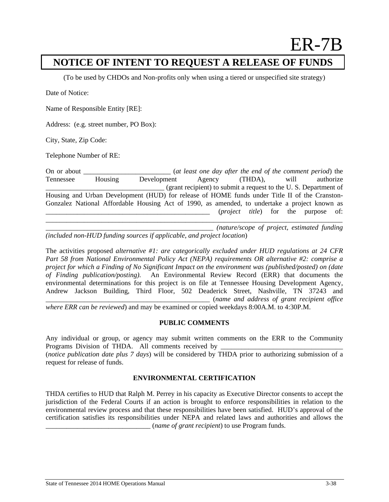# ER-7B

## **NOTICE OF INTENT TO REQUEST A RELEASE OF FUNDS**

(To be used by CHDOs and Non-profits only when using a tiered or unspecified site strategy)

Date of Notice:

Name of Responsible Entity [RE]:

Address: (e.g. street number, PO Box):

City, State, Zip Code:

Telephone Number of RE:

On or about **On about** (*at least one day after the end of the comment period*) the Tennessee Housing Development Agency (THDA), will authorize \_\_\_\_\_\_\_\_\_\_\_\_\_\_\_\_\_\_\_\_\_\_\_\_\_\_\_\_\_\_\_\_\_\_ (grant recipient) to submit a request to the U. S. Department of Housing and Urban Development (HUD) for release of HOME funds under Title II of the Cranston-Gonzalez National Affordable Housing Act of 1990, as amended, to undertake a project known as \_\_\_\_\_\_\_\_\_\_\_\_\_\_\_\_\_\_\_\_\_\_\_\_\_\_\_\_\_\_\_\_\_\_\_\_\_\_\_\_\_\_\_\_\_\_\_ (*project title*) for the purpose of: \_\_\_\_\_\_\_\_\_\_\_\_\_\_\_\_\_\_\_\_\_\_\_\_\_\_\_\_\_\_\_\_\_\_\_\_\_\_\_\_\_\_\_\_\_\_\_\_\_\_\_\_\_\_\_\_\_\_\_\_\_\_\_\_\_\_\_\_\_\_\_\_\_\_\_\_\_\_\_\_\_\_\_\_\_

\_\_\_\_\_\_\_\_\_\_\_\_\_\_\_\_\_\_\_\_\_\_\_\_\_\_\_\_\_\_\_\_\_\_\_\_\_\_\_\_\_\_\_\_\_\_\_\_ *(nature/scope of project, estimated funding (included non-HUD funding sources if applicable, and project location*)

The activities proposed *alternative #1: are categorically excluded under HUD regulations at 24 CFR Part 58 from National Environmental Policy Act (NEPA) requirements OR alternative #2: comprise a project for which a Finding of No Significant Impact on the environment was (published/posted) on (date of Finding publication/posting).* An Environmental Review Record (ERR) that documents the environmental determinations for this project is on file at Tennessee Housing Development Agency, Andrew Jackson Building, Third Floor, 502 Deaderick Street, Nashville, TN 37243 and \_\_\_\_\_\_\_\_\_\_\_\_\_\_\_\_\_\_\_\_\_\_\_\_\_\_\_\_\_\_\_\_\_\_\_\_\_\_\_\_\_\_\_\_\_\_\_ (*name and address of grant recipient office* 

*where ERR can be reviewed*) and may be examined or copied weekdays 8:00A.M. to 4:30P.M.

### **PUBLIC COMMENTS**

Any individual or group, or agency may submit written comments on the ERR to the Community Programs Division of THDA. All comments received by (*notice publication date plus 7 days*) will be considered by THDA prior to authorizing submission of a request for release of funds.

### **ENVIRONMENTAL CERTIFICATION**

THDA certifies to HUD that Ralph M. Perrey in his capacity as Executive Director consents to accept the jurisdiction of the Federal Courts if an action is brought to enforce responsibilities in relation to the environmental review process and that these responsibilities have been satisfied. HUD's approval of the certification satisfies its responsibilities under NEPA and related laws and authorities and allows the \_\_\_\_\_\_\_\_\_\_\_\_\_\_\_\_\_\_\_\_\_\_\_\_\_\_\_\_\_\_ (*name of grant recipient*) to use Program funds.